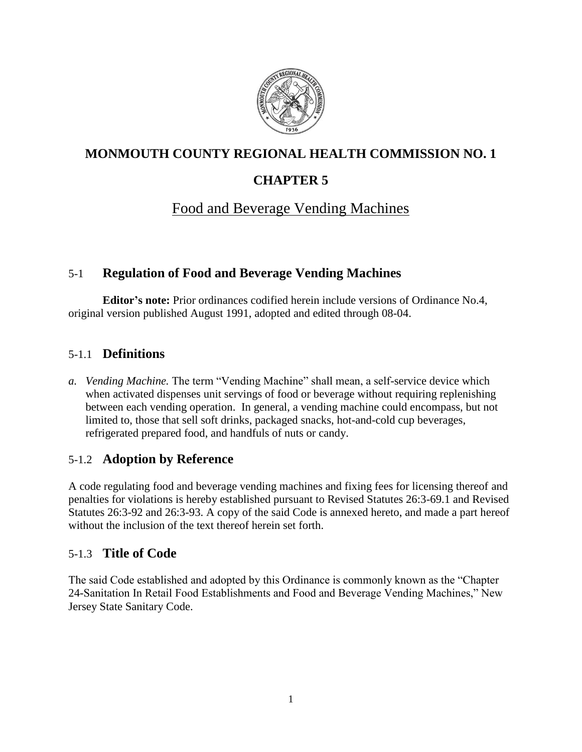

# **MONMOUTH COUNTY REGIONAL HEALTH COMMISSION NO. 1**

# **CHAPTER 5**

# Food and Beverage Vending Machines

# 5-1 **Regulation of Food and Beverage Vending Machines**

**Editor's note:** Prior ordinances codified herein include versions of Ordinance No.4, original version published August 1991, adopted and edited through 08-04.

# 5-1.1 **Definitions**

*a. Vending Machine.* The term "Vending Machine" shall mean, a self-service device which when activated dispenses unit servings of food or beverage without requiring replenishing between each vending operation. In general, a vending machine could encompass, but not limited to, those that sell soft drinks, packaged snacks, hot-and-cold cup beverages, refrigerated prepared food, and handfuls of nuts or candy.

## 5-1.2 **Adoption by Reference**

A code regulating food and beverage vending machines and fixing fees for licensing thereof and penalties for violations is hereby established pursuant to Revised Statutes 26:3-69.1 and Revised Statutes 26:3-92 and 26:3-93. A copy of the said Code is annexed hereto, and made a part hereof without the inclusion of the text thereof herein set forth.

# 5-1.3 **Title of Code**

The said Code established and adopted by this Ordinance is commonly known as the "Chapter 24-Sanitation In Retail Food Establishments and Food and Beverage Vending Machines," New Jersey State Sanitary Code.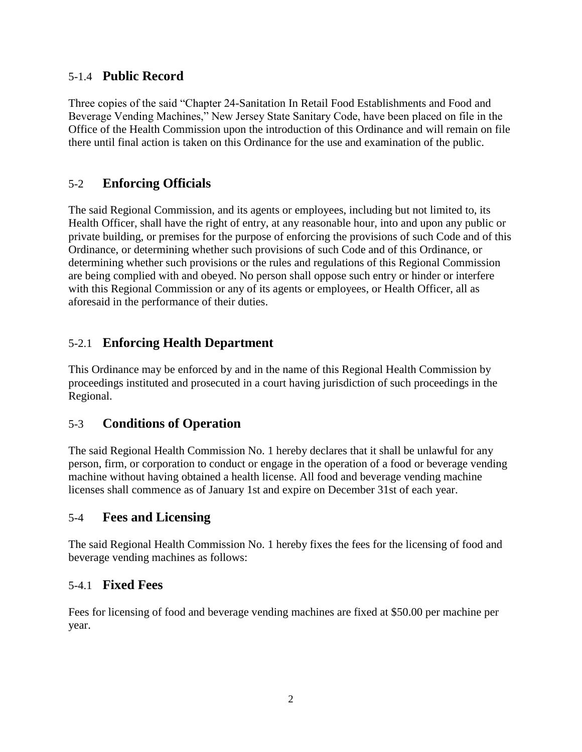## 5-1.4 **Public Record**

Three copies of the said "Chapter 24-Sanitation In Retail Food Establishments and Food and Beverage Vending Machines," New Jersey State Sanitary Code, have been placed on file in the Office of the Health Commission upon the introduction of this Ordinance and will remain on file there until final action is taken on this Ordinance for the use and examination of the public.

# 5-2 **Enforcing Officials**

The said Regional Commission, and its agents or employees, including but not limited to, its Health Officer, shall have the right of entry, at any reasonable hour, into and upon any public or private building, or premises for the purpose of enforcing the provisions of such Code and of this Ordinance, or determining whether such provisions of such Code and of this Ordinance, or determining whether such provisions or the rules and regulations of this Regional Commission are being complied with and obeyed. No person shall oppose such entry or hinder or interfere with this Regional Commission or any of its agents or employees, or Health Officer, all as aforesaid in the performance of their duties.

# 5-2.1 **Enforcing Health Department**

This Ordinance may be enforced by and in the name of this Regional Health Commission by proceedings instituted and prosecuted in a court having jurisdiction of such proceedings in the Regional.

## 5-3 **Conditions of Operation**

The said Regional Health Commission No. 1 hereby declares that it shall be unlawful for any person, firm, or corporation to conduct or engage in the operation of a food or beverage vending machine without having obtained a health license. All food and beverage vending machine licenses shall commence as of January 1st and expire on December 31st of each year.

## 5-4 **Fees and Licensing**

The said Regional Health Commission No. 1 hereby fixes the fees for the licensing of food and beverage vending machines as follows:

## 5-4.1 **Fixed Fees**

Fees for licensing of food and beverage vending machines are fixed at \$50.00 per machine per year.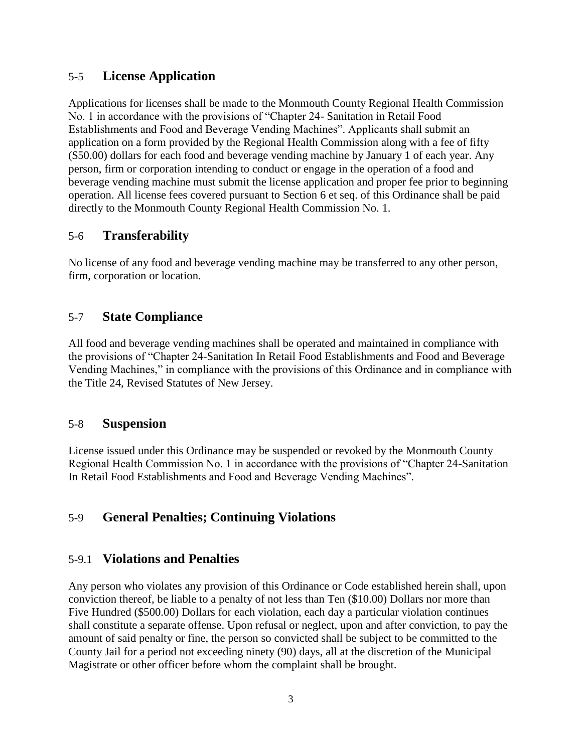# 5-5 **License Application**

Applications for licenses shall be made to the Monmouth County Regional Health Commission No. 1 in accordance with the provisions of "Chapter 24- Sanitation in Retail Food Establishments and Food and Beverage Vending Machines". Applicants shall submit an application on a form provided by the Regional Health Commission along with a fee of fifty (\$50.00) dollars for each food and beverage vending machine by January 1 of each year. Any person, firm or corporation intending to conduct or engage in the operation of a food and beverage vending machine must submit the license application and proper fee prior to beginning operation. All license fees covered pursuant to Section 6 et seq. of this Ordinance shall be paid directly to the Monmouth County Regional Health Commission No. 1.

## 5-6 **Transferability**

No license of any food and beverage vending machine may be transferred to any other person, firm, corporation or location.

# 5-7 **State Compliance**

All food and beverage vending machines shall be operated and maintained in compliance with the provisions of "Chapter 24-Sanitation In Retail Food Establishments and Food and Beverage Vending Machines," in compliance with the provisions of this Ordinance and in compliance with the Title 24, Revised Statutes of New Jersey.

## 5-8 **Suspension**

License issued under this Ordinance may be suspended or revoked by the Monmouth County Regional Health Commission No. 1 in accordance with the provisions of "Chapter 24-Sanitation In Retail Food Establishments and Food and Beverage Vending Machines".

# 5-9 **General Penalties; Continuing Violations**

## 5-9.1 **Violations and Penalties**

Any person who violates any provision of this Ordinance or Code established herein shall, upon conviction thereof, be liable to a penalty of not less than Ten (\$10.00) Dollars nor more than Five Hundred (\$500.00) Dollars for each violation, each day a particular violation continues shall constitute a separate offense. Upon refusal or neglect, upon and after conviction, to pay the amount of said penalty or fine, the person so convicted shall be subject to be committed to the County Jail for a period not exceeding ninety (90) days, all at the discretion of the Municipal Magistrate or other officer before whom the complaint shall be brought.